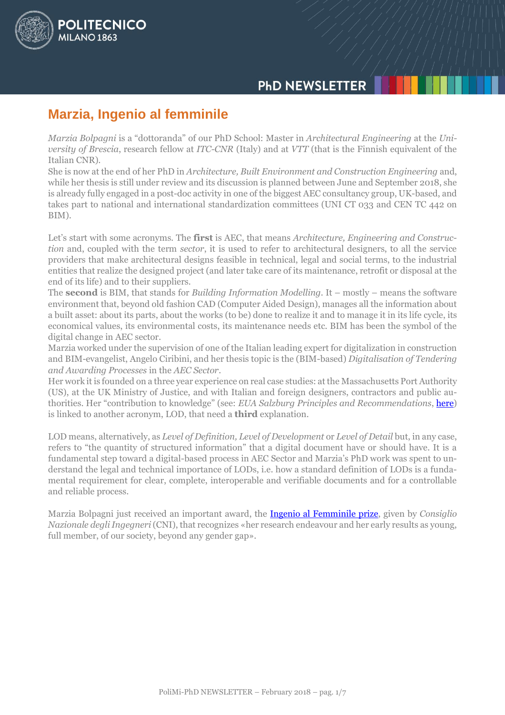# **PHD NEWSLETTER**

# **Marzia, Ingenio al femminile**

POLITECNICO

**MILANO 1863** 

*Marzia Bolpagni* is a "dottoranda" of our PhD School: Master in *Architectural Engineering* at the *University of Brescia*, research fellow at *ITC-CNR* (Italy) and at *VTT* (that is the Finnish equivalent of the Italian CNR).

She is now at the end of her PhD in *Architecture, Built Environment and Construction Engineering* and, while her thesis is still under review and its discussion is planned between June and September 2018, she is already fully engaged in a post-doc activity in one of the biggest AEC consultancy group, UK-based, and takes part to national and international standardization committees (UNI CT 033 and CEN TC 442 on BIM).

Let's start with some acronyms. The **first** is AEC, that means *Architecture, Engineering and Construction* and, coupled with the term *sector*, it is used to refer to architectural designers, to all the service providers that make architectural designs feasible in technical, legal and social terms, to the industrial entities that realize the designed project (and later take care of its maintenance, retrofit or disposal at the end of its life) and to their suppliers.

The **second** is BIM, that stands for *Building Information Modelling*. It – mostly – means the software environment that, beyond old fashion CAD (Computer Aided Design), manages all the information about a built asset: about its parts, about the works (to be) done to realize it and to manage it in its life cycle, its economical values, its environmental costs, its maintenance needs etc. BIM has been the symbol of the digital change in AEC sector.

Marzia worked under the supervision of one of the Italian leading expert for digitalization in construction and BIM-evangelist, Angelo Ciribini, and her thesis topic is the (BIM-based) *Digitalisation of Tendering and Awarding Processes* in the *AEC Sector*.

Her work it is founded on a three year experience on real case studies: at the Massachusetts Port Authority (US), at the UK Ministry of Justice, and with Italian and foreign designers, contractors and public authorities. Her "contribution to knowledge" (see: *EUA Salzburg Principles and Recommendations*, [here\)](mailto:http://www.eua.be/Libraries/publications-homepage-list/Salzburg_II_Recommendations) is linked to another acronym, LOD, that need a **third** explanation.

LOD means, alternatively, as *Level of Definition, Level of Development* or *Level of Detail* but, in any case, refers to "the quantity of structured information" that a digital document have or should have. It is a fundamental step toward a digital-based process in AEC Sector and Marzia's PhD work was spent to understand the legal and technical importance of LODs, i.e. how a standard definition of LODs is a fundamental requirement for clear, complete, interoperable and verifiable documents and for a controllable and reliable process.

Marzia Bolpagni just received an important award, the [Ingenio al Femminile prize,](http://www.ingenioalfemminile.it/cni/) given by *Consiglio Nazionale degli Ingegneri* (CNI), that recognizes «her research endeavour and her early results as young, full member, of our society, beyond any gender gap».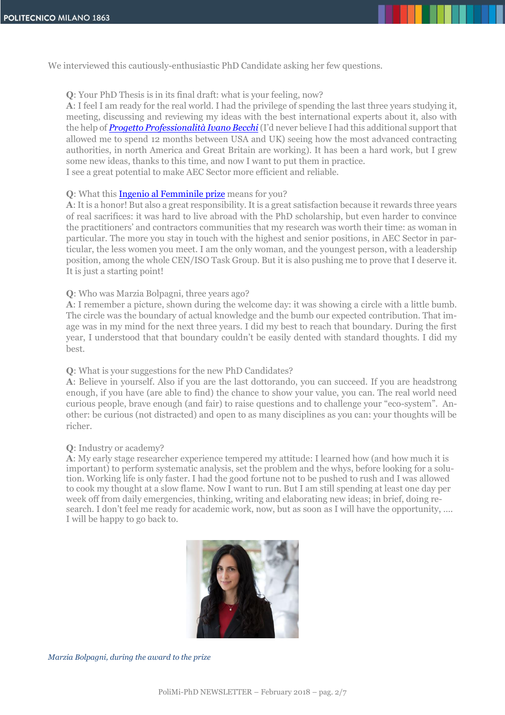We interviewed this cautiously-enthusiastic PhD Candidate asking her few questions.

# **Q**: Your PhD Thesis is in its final draft: what is your feeling, now?

**A**: I feel I am ready for the real world. I had the privilege of spending the last three years studying it, meeting, discussing and reviewing my ideas with the best international experts about it, also with the help of *[Progetto Professionalità Ivano](mailto:http://www.fbml.it/progetto-professionalit%C3%A0-IT.aspx) Becchi* (I'd never believe I had this additional support that allowed me to spend 12 months between USA and UK) seeing how the most advanced contracting authorities, in north America and Great Britain are working). It has been a hard work, but I grew some new ideas, thanks to this time, and now I want to put them in practice. I see a great potential to make AEC Sector more efficient and reliable.

# **Q**: What this [Ingenio al Femminile prize](http://www.ingenioalfemminile.it/cni/) means for you?

**A**: It is a honor! But also a great responsibility. It is a great satisfaction because it rewards three years of real sacrifices: it was hard to live abroad with the PhD scholarship, but even harder to convince the practitioners' and contractors communities that my research was worth their time: as woman in particular. The more you stay in touch with the highest and senior positions, in AEC Sector in particular, the less women you meet. I am the only woman, and the youngest person, with a leadership position, among the whole CEN/ISO Task Group. But it is also pushing me to prove that I deserve it. It is just a starting point!

# **Q**: Who was Marzia Bolpagni, three years ago?

**A**: I remember a picture, shown during the welcome day: it was showing a circle with a little bumb. The circle was the boundary of actual knowledge and the bumb our expected contribution. That image was in my mind for the next three years. I did my best to reach that boundary. During the first year, I understood that that boundary couldn't be easily dented with standard thoughts. I did my best.

# **Q**: What is your suggestions for the new PhD Candidates?

**A**: Believe in yourself. Also if you are the last dottorando, you can succeed. If you are headstrong enough, if you have (are able to find) the chance to show your value, you can. The real world need curious people, brave enough (and fair) to raise questions and to challenge your "eco-system". Another: be curious (not distracted) and open to as many disciplines as you can: your thoughts will be richer.

# **Q**: Industry or academy?

**A**: My early stage researcher experience tempered my attitude: I learned how (and how much it is important) to perform systematic analysis, set the problem and the whys, before looking for a solution. Working life is only faster. I had the good fortune not to be pushed to rush and I was allowed to cook my thought at a slow flame. Now I want to run. But I am still spending at least one day per week off from daily emergencies, thinking, writing and elaborating new ideas; in brief, doing research. I don't feel me ready for academic work, now, but as soon as I will have the opportunity, .... I will be happy to go back to.



*Marzia Bolpagni, during the award to the prize*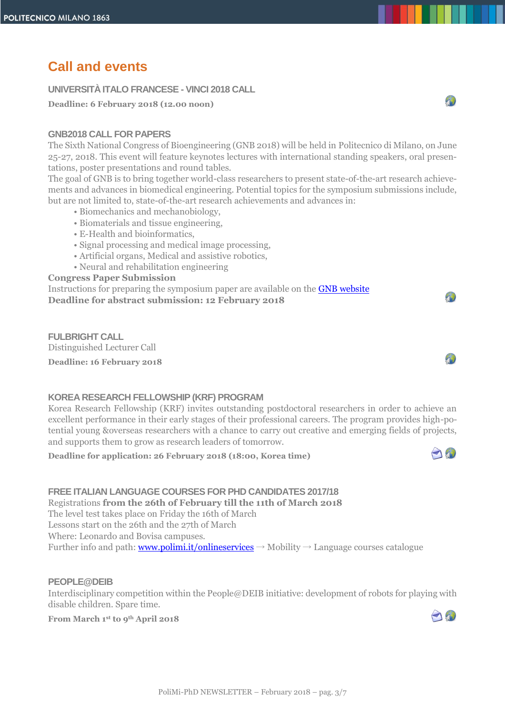# **Call and events**

# **UNIVERSITÀ ITALO FRANCESE - VINCI 2018 CALL**

**Deadline: 6 February 2018 (12.00 noon)**

# **GNB2018 CALL FOR PAPERS**

The Sixth National Congress of Bioengineering (GNB 2018) will be held in Politecnico di Milano, on June 25-27, 2018. This event will feature keynotes lectures with international standing speakers, oral presentations, poster presentations and round tables.

The goal of GNB is to bring together world-class researchers to present state-of-the-art research achievements and advances in biomedical engineering. Potential topics for the symposium submissions include, but are not limited to, state-of-the-art research achievements and advances in:

- Biomechanics and mechanobiology,
- Biomaterials and tissue engineering,
- E-Health and bioinformatics,
- Signal processing and medical image processing,
- Artificial organs, Medical and assistive robotics,
- Neural and rehabilitation engineering

#### **Congress Paper Submission**

Instructions for preparing the symposium paper are available on the [GNB website](http://www.gnb2018.polimi.it/) **Deadline for abstract submission: 12 February 2018**

**FULBRIGHT CALL** Distinguished Lecturer Call **Deadline: 16 February 2018**



A

 $\sqrt{1}$ 

# **KOREA RESEARCH FELLOWSHIP (KRF) PROGRAM**

Korea Research Fellowship (KRF) invites outstanding postdoctoral researchers in order to achieve an excellent performance in their early stages of their professional careers. The program provides high-potential young &overseas researchers with a chance to carry out creative and emerging fields of projects, and supports them to grow as research leaders of tomorrow.

**Deadline for application: 26 February 2018 (18:00, Korea time)**



# **FREE ITALIAN LANGUAGE COURSES FOR PHD CANDIDATES 2017/18**

Registrations **from the 26th of February till the 11th of March 2018**

The level test takes place on Friday the 16th of March

Lessons start on the 26th and the 27th of March

Where: Leonardo and Bovisa campuses.

Further info and path: [www.polimi.it/onlineservices](http://www.polimi.it/onlineservices)  $\rightarrow$  Mobility  $\rightarrow$  Language courses catalogue

# **PEOPLE@DEIB**

Interdisciplinary competition within the People@DEIB initiative: development of robots for playing with disable children. Spare time.

**From March 1 st to 9th April 2018** 

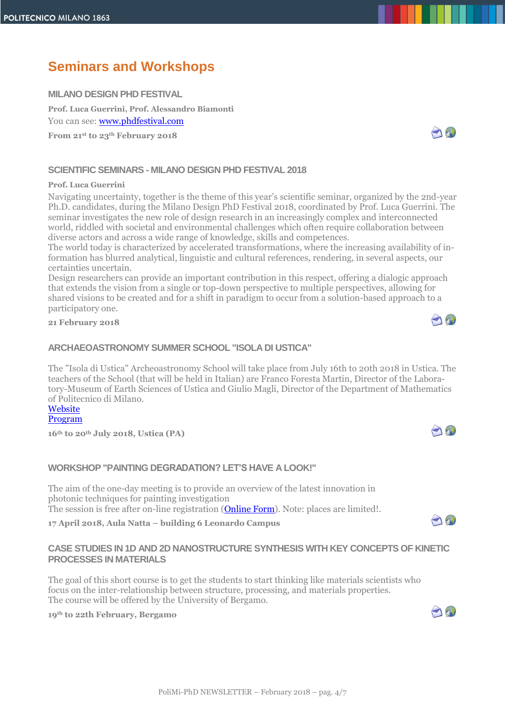# **Seminars and Workshops**

# **MILANO DESIGN PHD FESTIVAL**

**Prof. Luca Guerrini, Prof. Alessandro Biamonti**  You can see[: www.phdfestival.com](http://www.phdfestival.com/)

**From 21 st to 23th February 2018**

# **SCIENTIFIC SEMINARS - MILANO DESIGN PHD FESTIVAL 2018**

#### **Prof. Luca Guerrini**

Navigating uncertainty, together is the theme of this year's scientific seminar, organized by the 2nd-year Ph.D. candidates, during the Milano Design PhD Festival 2018, coordinated by Prof. Luca Guerrini. The seminar investigates the new role of design research in an increasingly complex and interconnected world, riddled with societal and environmental challenges which often require collaboration between diverse actors and across a wide range of knowledge, skills and competences.

The world today is characterized by accelerated transformations, where the increasing availability of information has blurred analytical, linguistic and cultural references, rendering, in several aspects, our certainties uncertain.

Design researchers can provide an important contribution in this respect, offering a dialogic approach that extends the vision from a single or top-down perspective to multiple perspectives, allowing for shared visions to be created and for a shift in paradigm to occur from a solution-based approach to a participatory one.

#### **21 February 2018**

# **ARCHAEOASTRONOMY SUMMER SCHOOL "ISOLA DI USTICA"**

The "Isola di Ustica" Archeoastronomy School will take place from July 16th to 20th 2018 in Ustica. The teachers of the School (that will be held in Italian) are Franco Foresta Martin, Director of the Laboratory-Museum of Earth Sciences of Ustica and Giulio Magli, Director of the Department of Mathematics of Politecnico di Milano.

**[Website](https://www.facebook.com/Scuola-Archeoastronomia-Ustica-929786347136495/)** [Program](http://www.dottorato.polimi.it/fileadmin/files/dottorato/newsletter/allegati/2018-01/CORSO_DI_ARCHEOASTRONOMIA_2018.pdf)

**16th to 20th July 2018, Ustica (PA)**

# **WORKSHOP "PAINTING DEGRADATION? LET'S HAVE A LOOK!"**

The aim of the one-day meeting is to provide an overview of the latest innovation in photonic techniques for painting investigation The session is free after on-line registration (**Online Form**). Note: places are limited!.

**17 April 2018, Aula Natta – building 6 Leonardo Campus**

# **CASE STUDIES IN 1D AND 2D NANOSTRUCTURE SYNTHESIS WITH KEY CONCEPTS OF KINETIC PROCESSES IN MATERIALS**

The goal of this short course is to get the students to start thinking like materials scientists who focus on the inter-relationship between structure, processing, and materials properties. The course will be offered by the University of Bergamo.

# **19th to 22th February, Bergamo**







A



A

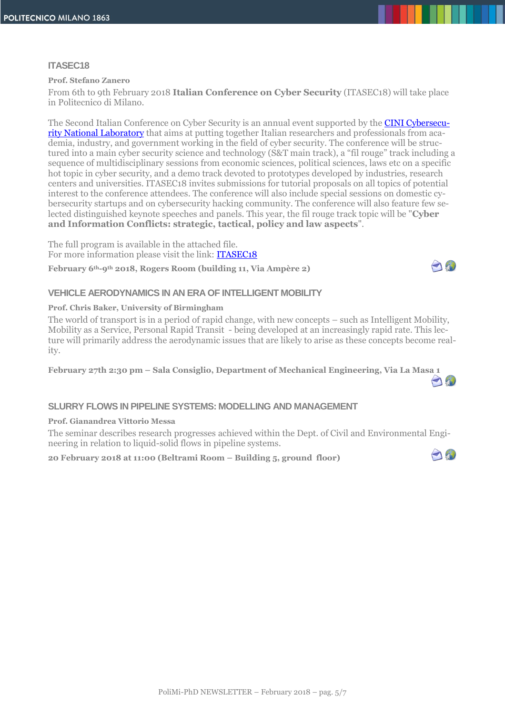#### **ITASEC18**

#### **Prof. Stefano Zanero**

From 6th to 9th February 2018 **Italian Conference on Cyber Security** (ITASEC18) will take place in Politecnico di Milano.

The Second Italian Conference on Cyber Security is an annual event supported by the **CINI Cybersecu**[rity National Laboratory](https://www.consorzio-cini.it/index.php/it/lab-cyber-security) that aims at putting together Italian researchers and professionals from academia, industry, and government working in the field of cyber security. The conference will be structured into a main cyber security science and technology (S&T main track), a "fil rouge" track including a sequence of multidisciplinary sessions from economic sciences, political sciences, laws etc on a specific hot topic in cyber security, and a demo track devoted to prototypes developed by industries, research centers and universities. ITASEC18 invites submissions for tutorial proposals on all topics of potential interest to the conference attendees. The conference will also include special sessions on domestic cybersecurity startups and on cybersecurity hacking community. The conference will also feature few selected distinguished keynote speeches and panels. This year, the fil rouge track topic will be "**Cyber and Information Conflicts: strategic, tactical, policy and law aspects**".

The full program is available in the attached file. For more information please visit the link: **ITASEC18** 

**February 6th-9th 2018, Rogers Room (building 11, Via Ampère 2)**



O

#### **VEHICLE AERODYNAMICS IN AN ERA OF INTELLIGENT MOBILITY**

#### **Prof. Chris Baker, University of Birmingham**

The world of transport is in a period of rapid change, with new concepts – such as Intelligent Mobility, Mobility as a Service, Personal Rapid Transit - being developed at an increasingly rapid rate. This lecture will primarily address the aerodynamic issues that are likely to arise as these concepts become reality.

**February 27th 2:30 pm – Sala Consiglio, Department of Mechanical Engineering, Via La Masa 1**  $\bigcap_{i=1}^n$ 

# **SLURRY FLOWS IN PIPELINE SYSTEMS: MODELLING AND MANAGEMENT**

#### **Prof. Gianandrea Vittorio Messa**

The seminar describes research progresses achieved within the Dept. of Civil and Environmental Engineering in relation to liquid-solid flows in pipeline systems.

**20 February 2018 at 11:00 (Beltrami Room – Building 5, ground floor)**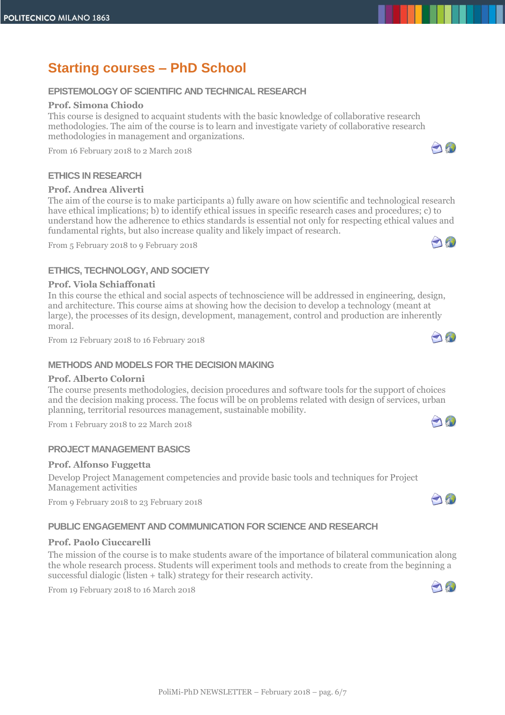# **Starting courses – PhD School**

# **EPISTEMOLOGY OF SCIENTIFIC AND TECHNICAL RESEARCH**

# **Prof. Simona Chiodo**

This course is designed to acquaint students with the basic knowledge of collaborative research methodologies. The aim of the course is to learn and investigate variety of collaborative research methodologies in management and organizations.

From 16 February 2018 to 2 March 2018

# **ETHICS IN RESEARCH**

# **Prof. Andrea Aliverti**

The aim of the course is to make participants a) fully aware on how scientific and technological research have ethical implications; b) to identify ethical issues in specific research cases and procedures; c) to understand how the adherence to ethics standards is essential not only for respecting ethical values and fundamental rights, but also increase quality and likely impact of research.

From 5 February 2018 to 9 February 2018

# **ETHICS, TECHNOLOGY, AND SOCIETY**

# **Prof. Viola Schiaffonati**

In this course the ethical and social aspects of technoscience will be addressed in engineering, design, and architecture. This course aims at showing how the decision to develop a technology (meant at large), the processes of its design, development, management, control and production are inherently moral.

From 12 February 2018 to 16 February 2018

# **METHODS AND MODELS FOR THE DECISION MAKING**

# **Prof. Alberto Colorni**

The course presents methodologies, decision procedures and software tools for the support of choices and the decision making process. The focus will be on problems related with design of services, urban planning, territorial resources management, sustainable mobility.

From 1 February 2018 to 22 March 2018

# **PROJECT MANAGEMENT BASICS**

# **Prof. Alfonso Fuggetta**

Develop Project Management competencies and provide basic tools and techniques for Project Management activities

From 9 February 2018 to 23 February 2018

# **PUBLIC ENGAGEMENT AND COMMUNICATION FOR SCIENCE AND RESEARCH**

# **Prof. Paolo Ciuccarelli**

The mission of the course is to make students aware of the importance of bilateral communication along the whole research process. Students will experiment tools and methods to create from the beginning a successful dialogic (listen + talk) strategy for their research activity.

From 19 February 2018 to 16 March 2018









A